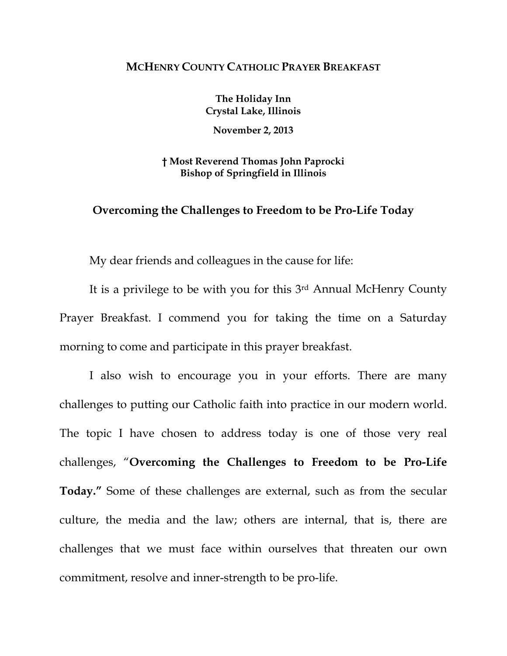## **MCHENRY COUNTY CATHOLIC PRAYER BREAKFAST**

**The Holiday Inn Crystal Lake, Illinois** 

**November 2, 2013** 

**† Most Reverend Thomas John Paprocki Bishop of Springfield in Illinois** 

## **Overcoming the Challenges to Freedom to be Pro-Life Today**

My dear friends and colleagues in the cause for life:

It is a privilege to be with you for this 3rd Annual McHenry County Prayer Breakfast. I commend you for taking the time on a Saturday morning to come and participate in this prayer breakfast.

I also wish to encourage you in your efforts. There are many challenges to putting our Catholic faith into practice in our modern world. The topic I have chosen to address today is one of those very real challenges, "**Overcoming the Challenges to Freedom to be Pro-Life Today."** Some of these challenges are external, such as from the secular culture, the media and the law; others are internal, that is, there are challenges that we must face within ourselves that threaten our own commitment, resolve and inner-strength to be pro-life.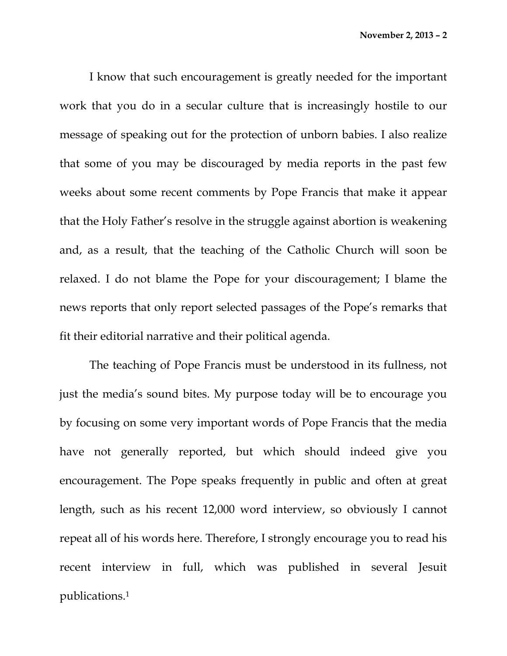I know that such encouragement is greatly needed for the important work that you do in a secular culture that is increasingly hostile to our message of speaking out for the protection of unborn babies. I also realize that some of you may be discouraged by media reports in the past few weeks about some recent comments by Pope Francis that make it appear that the Holy Father's resolve in the struggle against abortion is weakening and, as a result, that the teaching of the Catholic Church will soon be relaxed. I do not blame the Pope for your discouragement; I blame the news reports that only report selected passages of the Pope's remarks that fit their editorial narrative and their political agenda.

The teaching of Pope Francis must be understood in its fullness, not just the media's sound bites. My purpose today will be to encourage you by focusing on some very important words of Pope Francis that the media have not generally reported, but which should indeed give you encouragement. The Pope speaks frequently in public and often at great length, such as his recent 12,000 word interview, so obviously I cannot repeat all of his words here. Therefore, I strongly encourage you to read his recent interview in full, which was published in several Jesuit publications.1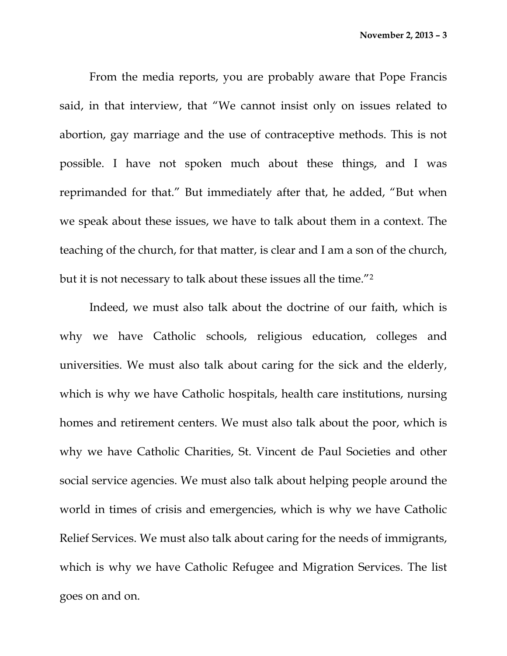From the media reports, you are probably aware that Pope Francis said, in that interview, that "We cannot insist only on issues related to abortion, gay marriage and the use of contraceptive methods. This is not possible. I have not spoken much about these things, and I was reprimanded for that." But immediately after that, he added, "But when we speak about these issues, we have to talk about them in a context. The teaching of the church, for that matter, is clear and I am a son of the church, but it is not necessary to talk about these issues all the time."2

Indeed, we must also talk about the doctrine of our faith, which is why we have Catholic schools, religious education, colleges and universities. We must also talk about caring for the sick and the elderly, which is why we have Catholic hospitals, health care institutions, nursing homes and retirement centers. We must also talk about the poor, which is why we have Catholic Charities, St. Vincent de Paul Societies and other social service agencies. We must also talk about helping people around the world in times of crisis and emergencies, which is why we have Catholic Relief Services. We must also talk about caring for the needs of immigrants, which is why we have Catholic Refugee and Migration Services. The list goes on and on.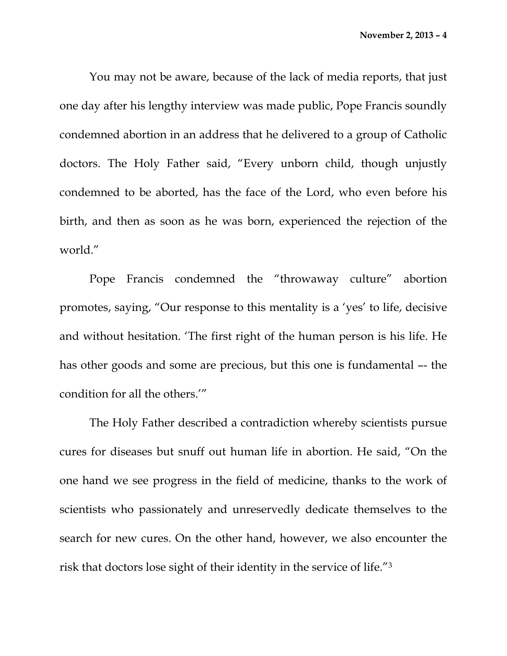You may not be aware, because of the lack of media reports, that just one day after his lengthy interview was made public, Pope Francis soundly condemned abortion in an address that he delivered to a group of Catholic doctors. The Holy Father said, "Every unborn child, though unjustly condemned to be aborted, has the face of the Lord, who even before his birth, and then as soon as he was born, experienced the rejection of the world."

Pope Francis condemned the "throwaway culture" abortion promotes, saying, "Our response to this mentality is a 'yes' to life, decisive and without hesitation. 'The first right of the human person is his life. He has other goods and some are precious, but this one is fundamental –- the condition for all the others.'"

The Holy Father described a contradiction whereby scientists pursue cures for diseases but snuff out human life in abortion. He said, "On the one hand we see progress in the field of medicine, thanks to the work of scientists who passionately and unreservedly dedicate themselves to the search for new cures. On the other hand, however, we also encounter the risk that doctors lose sight of their identity in the service of life."3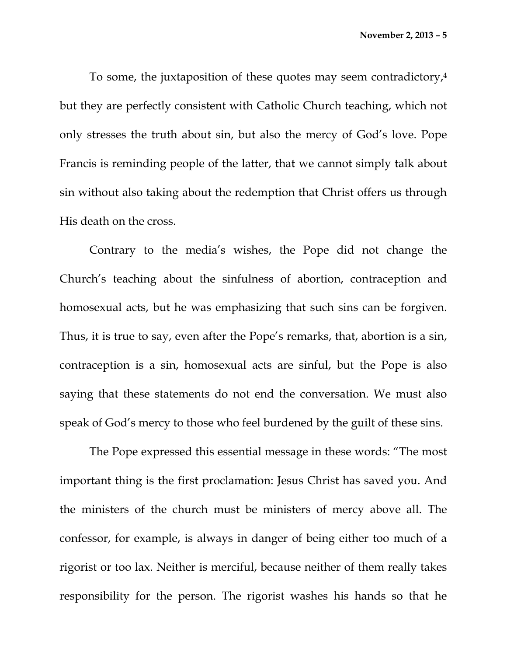To some, the juxtaposition of these quotes may seem contradictory,4 but they are perfectly consistent with Catholic Church teaching, which not only stresses the truth about sin, but also the mercy of God's love. Pope Francis is reminding people of the latter, that we cannot simply talk about sin without also taking about the redemption that Christ offers us through His death on the cross.

Contrary to the media's wishes, the Pope did not change the Church's teaching about the sinfulness of abortion, contraception and homosexual acts, but he was emphasizing that such sins can be forgiven. Thus, it is true to say, even after the Pope's remarks, that, abortion is a sin, contraception is a sin, homosexual acts are sinful, but the Pope is also saying that these statements do not end the conversation. We must also speak of God's mercy to those who feel burdened by the guilt of these sins.

The Pope expressed this essential message in these words: "The most important thing is the first proclamation: Jesus Christ has saved you. And the ministers of the church must be ministers of mercy above all. The confessor, for example, is always in danger of being either too much of a rigorist or too lax. Neither is merciful, because neither of them really takes responsibility for the person. The rigorist washes his hands so that he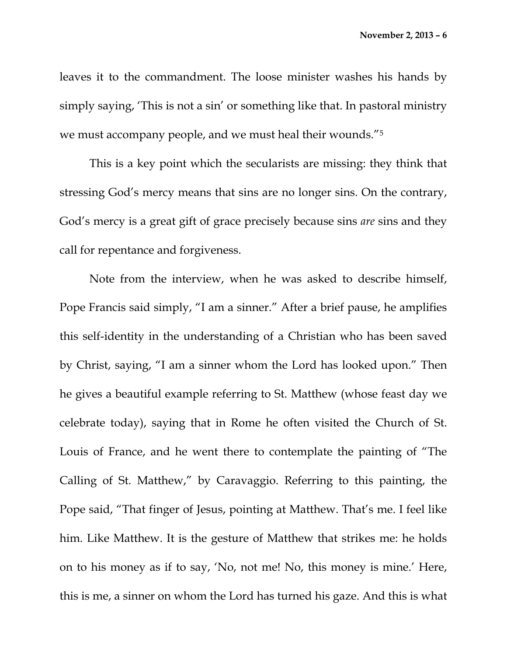leaves it to the commandment. The loose minister washes his hands by simply saying, 'This is not a sin' or something like that. In pastoral ministry we must accompany people, and we must heal their wounds."5

This is a key point which the secularists are missing: they think that stressing God's mercy means that sins are no longer sins. On the contrary, God's mercy is a great gift of grace precisely because sins *are* sins and they call for repentance and forgiveness.

Note from the interview, when he was asked to describe himself, Pope Francis said simply, "I am a sinner." After a brief pause, he amplifies this self-identity in the understanding of a Christian who has been saved by Christ, saying, "I am a sinner whom the Lord has looked upon." Then he gives a beautiful example referring to St. Matthew (whose feast day we celebrate today), saying that in Rome he often visited the Church of St. Louis of France, and he went there to contemplate the painting of "The Calling of St. Matthew," by Caravaggio. Referring to this painting, the Pope said, "That finger of Jesus, pointing at Matthew. That's me. I feel like him. Like Matthew. It is the gesture of Matthew that strikes me: he holds on to his money as if to say, 'No, not me! No, this money is mine.' Here, this is me, a sinner on whom the Lord has turned his gaze. And this is what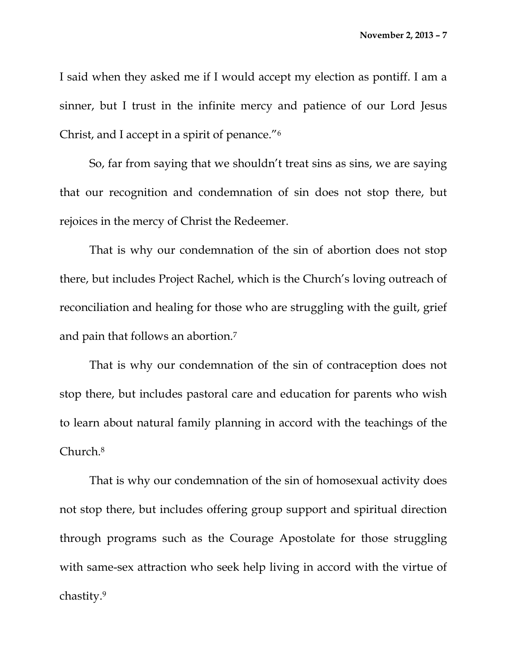I said when they asked me if I would accept my election as pontiff. I am a sinner, but I trust in the infinite mercy and patience of our Lord Jesus Christ, and I accept in a spirit of penance."6

So, far from saying that we shouldn't treat sins as sins, we are saying that our recognition and condemnation of sin does not stop there, but rejoices in the mercy of Christ the Redeemer.

That is why our condemnation of the sin of abortion does not stop there, but includes Project Rachel, which is the Church's loving outreach of reconciliation and healing for those who are struggling with the guilt, grief and pain that follows an abortion.7

That is why our condemnation of the sin of contraception does not stop there, but includes pastoral care and education for parents who wish to learn about natural family planning in accord with the teachings of the Church.8

That is why our condemnation of the sin of homosexual activity does not stop there, but includes offering group support and spiritual direction through programs such as the Courage Apostolate for those struggling with same-sex attraction who seek help living in accord with the virtue of chastity.9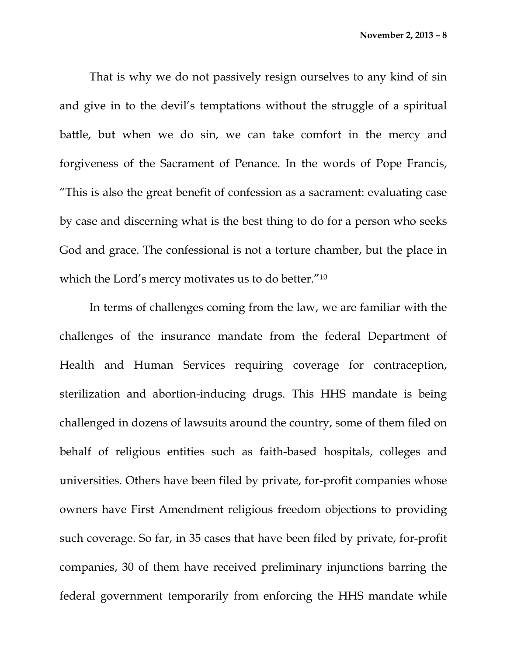That is why we do not passively resign ourselves to any kind of sin and give in to the devil's temptations without the struggle of a spiritual battle, but when we do sin, we can take comfort in the mercy and forgiveness of the Sacrament of Penance. In the words of Pope Francis, "This is also the great benefit of confession as a sacrament: evaluating case by case and discerning what is the best thing to do for a person who seeks God and grace. The confessional is not a torture chamber, but the place in which the Lord's mercy motivates us to do better."10

In terms of challenges coming from the law, we are familiar with the challenges of the insurance mandate from the federal Department of Health and Human Services requiring coverage for contraception, sterilization and abortion-inducing drugs. This HHS mandate is being challenged in dozens of lawsuits around the country, some of them filed on behalf of religious entities such as faith-based hospitals, colleges and universities. Others have been filed by private, for-profit companies whose owners have First Amendment religious freedom objections to providing such coverage. So far, in 35 cases that have been filed by private, for-profit companies, 30 of them have received preliminary injunctions barring the federal government temporarily from enforcing the HHS mandate while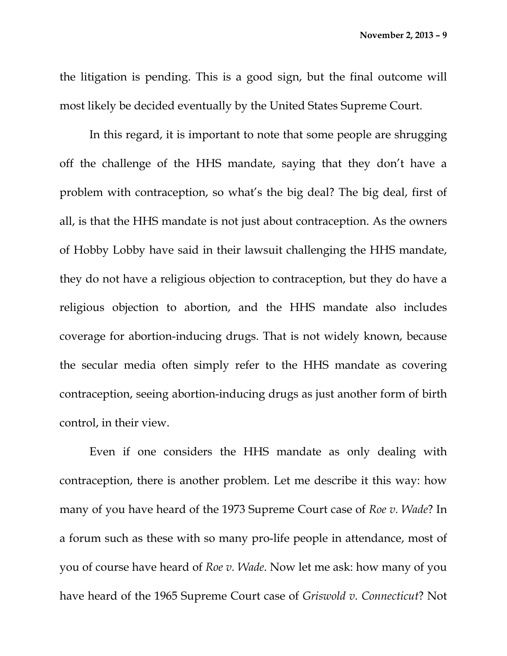the litigation is pending. This is a good sign, but the final outcome will most likely be decided eventually by the United States Supreme Court.

In this regard, it is important to note that some people are shrugging off the challenge of the HHS mandate, saying that they don't have a problem with contraception, so what's the big deal? The big deal, first of all, is that the HHS mandate is not just about contraception. As the owners of Hobby Lobby have said in their lawsuit challenging the HHS mandate, they do not have a religious objection to contraception, but they do have a religious objection to abortion, and the HHS mandate also includes coverage for abortion-inducing drugs. That is not widely known, because the secular media often simply refer to the HHS mandate as covering contraception, seeing abortion-inducing drugs as just another form of birth control, in their view.

Even if one considers the HHS mandate as only dealing with contraception, there is another problem. Let me describe it this way: how many of you have heard of the 1973 Supreme Court case of *Roe v. Wade*? In a forum such as these with so many pro-life people in attendance, most of you of course have heard of *Roe v. Wade*. Now let me ask: how many of you have heard of the 1965 Supreme Court case of *Griswold v. Connecticut*? Not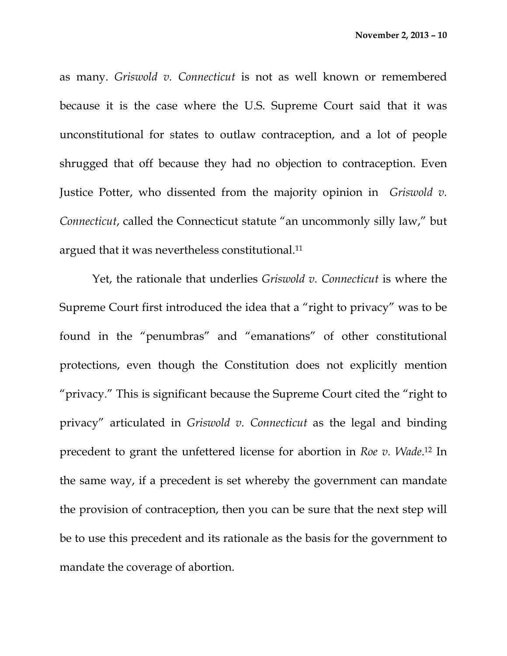as many. *Griswold v. Connecticut* is not as well known or remembered because it is the case where the U.S. Supreme Court said that it was unconstitutional for states to outlaw contraception, and a lot of people shrugged that off because they had no objection to contraception. Even Justice Potter, who dissented from the majority opinion in *Griswold v. Connecticut*, called the Connecticut statute "an uncommonly silly law," but argued that it was nevertheless constitutional.11

 Yet, the rationale that underlies *Griswold v. Connecticut* is where the Supreme Court first introduced the idea that a "right to privacy" was to be found in the "penumbras" and "emanations" of other constitutional protections, even though the Constitution does not explicitly mention "privacy." This is significant because the Supreme Court cited the "right to privacy" articulated in *Griswold v. Connecticut* as the legal and binding precedent to grant the unfettered license for abortion in *Roe v. Wade*.12 In the same way, if a precedent is set whereby the government can mandate the provision of contraception, then you can be sure that the next step will be to use this precedent and its rationale as the basis for the government to mandate the coverage of abortion.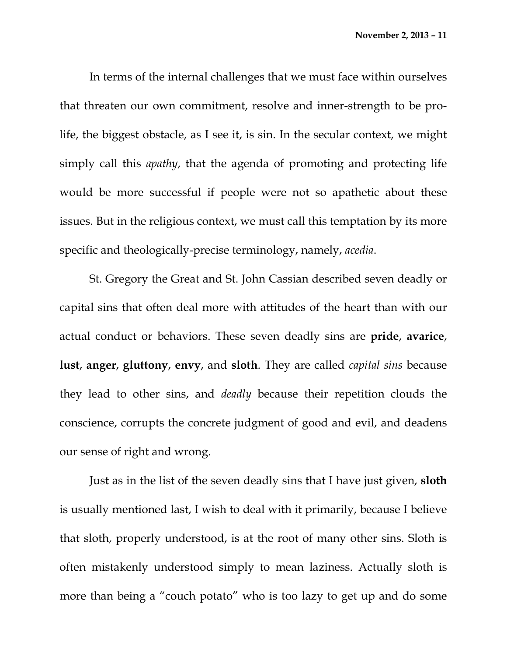In terms of the internal challenges that we must face within ourselves that threaten our own commitment, resolve and inner-strength to be prolife, the biggest obstacle, as I see it, is sin. In the secular context, we might simply call this *apathy*, that the agenda of promoting and protecting life would be more successful if people were not so apathetic about these issues. But in the religious context, we must call this temptation by its more specific and theologically-precise terminology, namely, *acedia*.

St. Gregory the Great and St. John Cassian described seven deadly or capital sins that often deal more with attitudes of the heart than with our actual conduct or behaviors. These seven deadly sins are **pride**, **avarice**, **lust**, **anger**, **gluttony**, **envy**, and **sloth**. They are called *capital sins* because they lead to other sins, and *deadly* because their repetition clouds the conscience, corrupts the concrete judgment of good and evil, and deadens our sense of right and wrong.

Just as in the list of the seven deadly sins that I have just given, **sloth** is usually mentioned last, I wish to deal with it primarily, because I believe that sloth, properly understood, is at the root of many other sins. Sloth is often mistakenly understood simply to mean laziness. Actually sloth is more than being a "couch potato" who is too lazy to get up and do some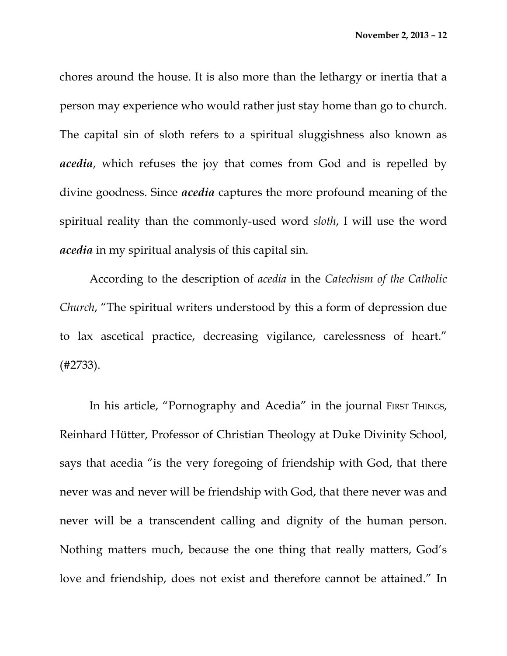chores around the house. It is also more than the lethargy or inertia that a person may experience who would rather just stay home than go to church. The capital sin of sloth refers to a spiritual sluggishness also known as *acedia*, which refuses the joy that comes from God and is repelled by divine goodness. Since *acedia* captures the more profound meaning of the spiritual reality than the commonly-used word *sloth*, I will use the word *acedia* in my spiritual analysis of this capital sin.

According to the description of *acedia* in the *Catechism of the Catholic Church*, "The spiritual writers understood by this a form of depression due to lax ascetical practice, decreasing vigilance, carelessness of heart." (#2733).

In his article, "Pornography and Acedia" in the journal FIRST THINGS, Reinhard Hütter, Professor of Christian Theology at Duke Divinity School, says that acedia "is the very foregoing of friendship with God, that there never was and never will be friendship with God, that there never was and never will be a transcendent calling and dignity of the human person. Nothing matters much, because the one thing that really matters, God's love and friendship, does not exist and therefore cannot be attained." In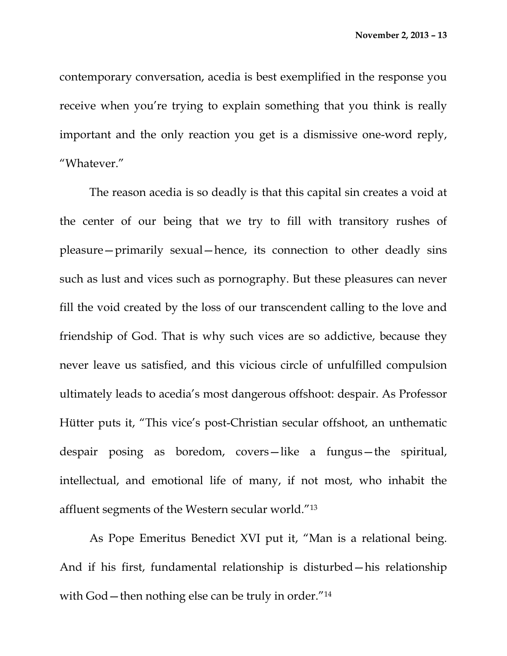contemporary conversation, acedia is best exemplified in the response you receive when you're trying to explain something that you think is really important and the only reaction you get is a dismissive one-word reply, "Whatever."

The reason acedia is so deadly is that this capital sin creates a void at the center of our being that we try to fill with transitory rushes of pleasure—primarily sexual—hence, its connection to other deadly sins such as lust and vices such as pornography. But these pleasures can never fill the void created by the loss of our transcendent calling to the love and friendship of God. That is why such vices are so addictive, because they never leave us satisfied, and this vicious circle of unfulfilled compulsion ultimately leads to acedia's most dangerous offshoot: despair. As Professor Hütter puts it, "This vice's post-Christian secular offshoot, an unthematic despair posing as boredom, covers—like a fungus—the spiritual, intellectual, and emotional life of many, if not most, who inhabit the affluent segments of the Western secular world."13

As Pope Emeritus Benedict XVI put it, "Man is a relational being. And if his first, fundamental relationship is disturbed—his relationship with God – then nothing else can be truly in order."<sup>14</sup>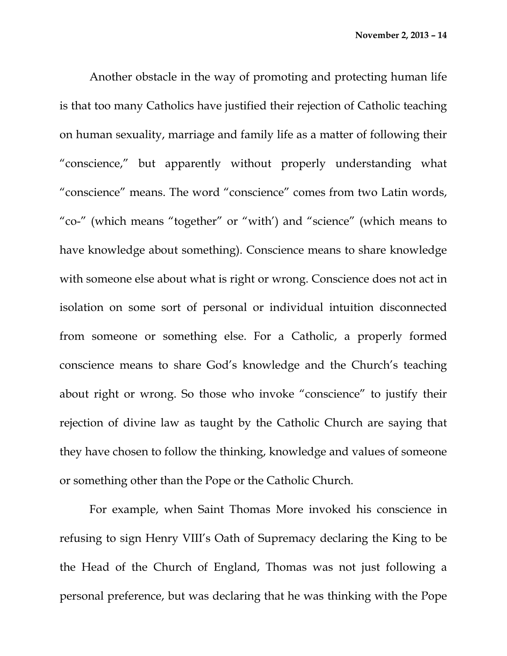Another obstacle in the way of promoting and protecting human life is that too many Catholics have justified their rejection of Catholic teaching on human sexuality, marriage and family life as a matter of following their "conscience," but apparently without properly understanding what "conscience" means. The word "conscience" comes from two Latin words, "co-" (which means "together" or "with') and "science" (which means to have knowledge about something). Conscience means to share knowledge with someone else about what is right or wrong. Conscience does not act in isolation on some sort of personal or individual intuition disconnected from someone or something else. For a Catholic, a properly formed conscience means to share God's knowledge and the Church's teaching about right or wrong. So those who invoke "conscience" to justify their rejection of divine law as taught by the Catholic Church are saying that they have chosen to follow the thinking, knowledge and values of someone or something other than the Pope or the Catholic Church.

For example, when Saint Thomas More invoked his conscience in refusing to sign Henry VIII's Oath of Supremacy declaring the King to be the Head of the Church of England, Thomas was not just following a personal preference, but was declaring that he was thinking with the Pope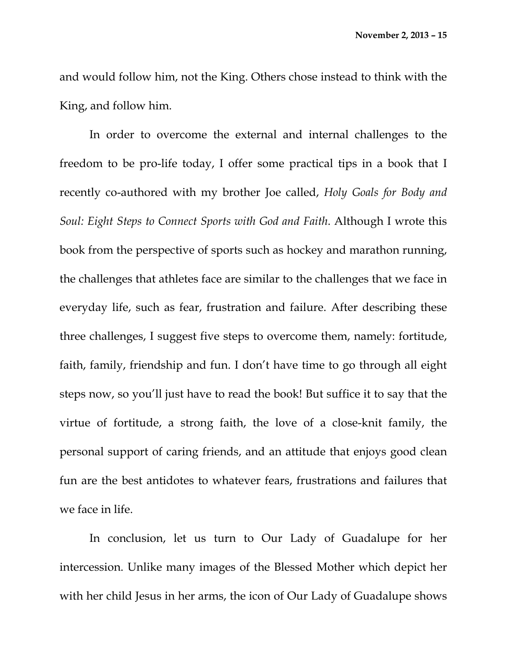and would follow him, not the King. Others chose instead to think with the King, and follow him.

In order to overcome the external and internal challenges to the freedom to be pro-life today, I offer some practical tips in a book that I recently co-authored with my brother Joe called, *Holy Goals for Body and Soul: Eight Steps to Connect Sports with God and Faith*. Although I wrote this book from the perspective of sports such as hockey and marathon running, the challenges that athletes face are similar to the challenges that we face in everyday life, such as fear, frustration and failure. After describing these three challenges, I suggest five steps to overcome them, namely: fortitude, faith, family, friendship and fun. I don't have time to go through all eight steps now, so you'll just have to read the book! But suffice it to say that the virtue of fortitude, a strong faith, the love of a close-knit family, the personal support of caring friends, and an attitude that enjoys good clean fun are the best antidotes to whatever fears, frustrations and failures that we face in life.

In conclusion, let us turn to Our Lady of Guadalupe for her intercession. Unlike many images of the Blessed Mother which depict her with her child Jesus in her arms, the icon of Our Lady of Guadalupe shows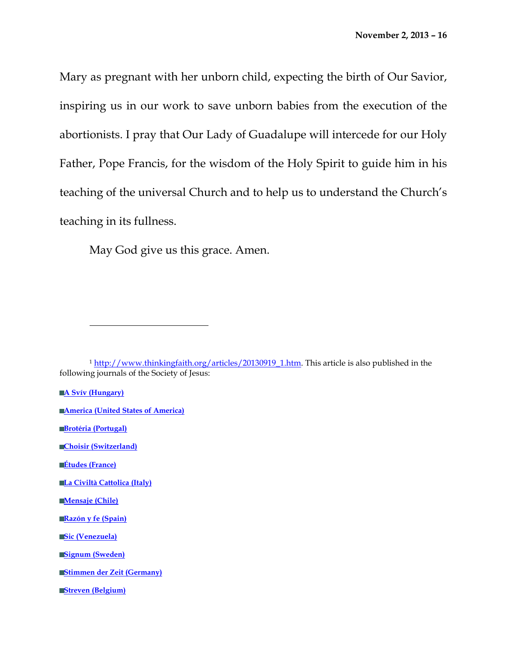Mary as pregnant with her unborn child, expecting the birth of Our Savior, inspiring us in our work to save unborn babies from the execution of the abortionists. I pray that Our Lady of Guadalupe will intercede for our Holy Father, Pope Francis, for the wisdom of the Holy Spirit to guide him in his teaching of the universal Church and to help us to understand the Church's teaching in its fullness.

May God give us this grace. Amen.

**A Svív (Hungary)**

**Brotéria (Portugal)**

**Choisir (Switzerland)**

**Études (France)**

- **La Civiltà Cattolica (Italy)**
- **Mensaje (Chile)**

**Razón y fe (Spain)**

**Sic (Venezuela)**

**Signum (Sweden)**

- **Stimmen der Zeit (Germany)**
- **Streven (Belgium)**

<sup>1</sup> http://www.thinkingfaith.org/articles/20130919\_1.htm. This article is also published in the following journals of the Society of Jesus:

**America (United States of America)**